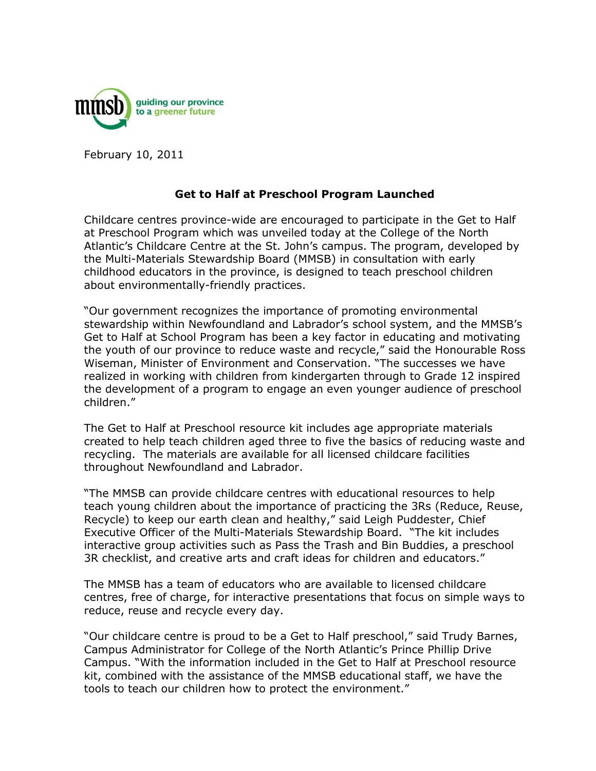

February 10, 2011

## **Get to Half at Preschool Program Launched**

Childcare centres province-wide are encouraged to participate in the Get to Half at Preschool Program which was unveiled today at the College of the North Atlantic's Childcare Centre at the St. John's campus. The program, developed by the Multi-Materials Stewardship Board (MMSB) in consultation with early childhood educators in the province, is designed to teach preschool children about environmentally-friendly practices.

"Our government recognizes the importance of promoting environmental stewardship within Newfoundland and Labrador's school system, and the MMSB's Get to Half at School Program has been a key factor in educating and motivating the youth of our province to reduce waste and recycle," said the Honourable Ross Wiseman, Minister of Environment and Conservation. "The successes we have realized in working with children from kindergarten through to Grade 12 inspired the development of a program to engage an even younger audience of preschool children."

The Get to Half at Preschool resource kit includes age appropriate materials created to help teach children aged three to five the basics of reducing waste and recycling. The materials are available for all licensed childcare facilities throughout Newfoundland and Labrador.

"The MMSB can provide childcare centres with educational resources to help teach young children about the importance of practicing the 3Rs (Reduce, Reuse, Recycle) to keep our earth clean and healthy," said Leigh Puddester, Chief Executive Officer of the Multi-Materials Stewardship Board. "The kit includes interactive group activities such as Pass the Trash and Bin Buddies, a preschool 3R checklist, and creative arts and craft ideas for children and educators."

The MMSB has a team of educators who are available to licensed childcare centres, free of charge, for interactive presentations that focus on simple ways to reduce, reuse and recycle every day.

"Our childcare centre is proud to be a Get to Half preschool," said Trudy Barnes, Campus Administrator for College of the North Atlantic's Prince Phillip Drive Campus. "With the information included in the Get to Half at Preschool resource kit, combined with the assistance of the MMSB educational staff, we have the tools to teach our children how to protect the environment."